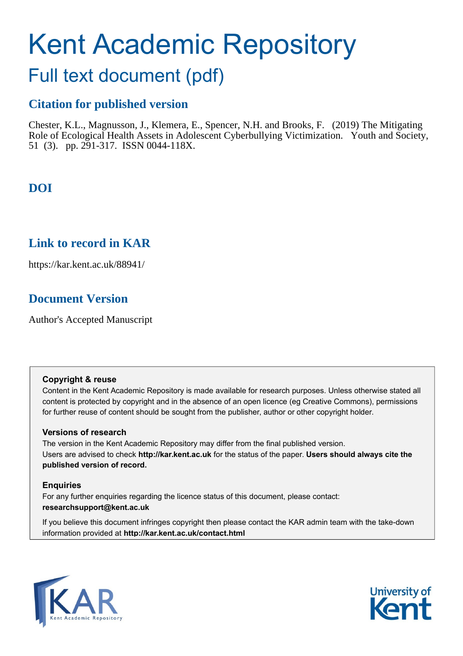# Kent Academic Repository

## Full text document (pdf)

### **Citation for published version**

Chester, K.L., Magnusson, J., Klemera, E., Spencer, N.H. and Brooks, F. (2019) The Mitigating Role of Ecological Health Assets in Adolescent Cyberbullying Victimization. Youth and Society, 51 (3). pp. 291-317. ISSN 0044-118X.

## **DOI**

## **Link to record in KAR**

https://kar.kent.ac.uk/88941/

## **Document Version**

Author's Accepted Manuscript

#### **Copyright & reuse**

Content in the Kent Academic Repository is made available for research purposes. Unless otherwise stated all content is protected by copyright and in the absence of an open licence (eg Creative Commons), permissions for further reuse of content should be sought from the publisher, author or other copyright holder.

#### **Versions of research**

The version in the Kent Academic Repository may differ from the final published version. Users are advised to check **http://kar.kent.ac.uk** for the status of the paper. **Users should always cite the published version of record.**

#### **Enquiries**

For any further enquiries regarding the licence status of this document, please contact: **researchsupport@kent.ac.uk**

If you believe this document infringes copyright then please contact the KAR admin team with the take-down information provided at **http://kar.kent.ac.uk/contact.html**



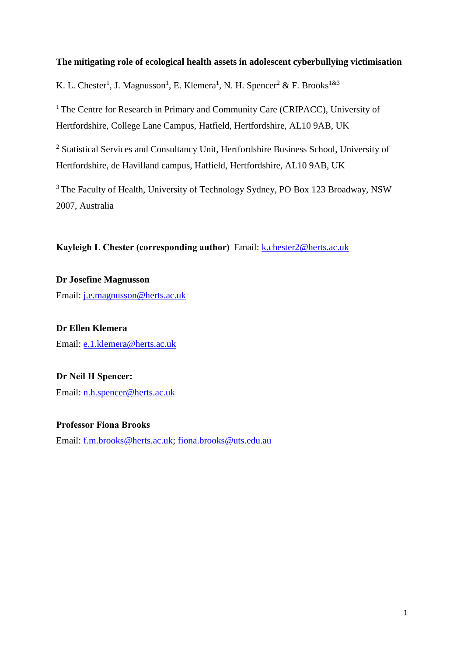#### **The mitigating role of ecological health assets in adolescent cyberbullying victimisation**

K. L. Chester<sup>1</sup>, J. Magnusson<sup>1</sup>, E. Klemera<sup>1</sup>, N. H. Spencer<sup>2</sup> & F. Brooks<sup>1&3</sup>

<sup>1</sup> The Centre for Research in Primary and Community Care (CRIPACC), University of Hertfordshire, College Lane Campus, Hatfield, Hertfordshire, AL10 9AB, UK

<sup>2</sup> Statistical Services and Consultancy Unit, Hertfordshire Business School, University of Hertfordshire, de Havilland campus, Hatfield, Hertfordshire, AL10 9AB, UK

<sup>3</sup> The Faculty of Health, University of Technology Sydney, PO Box 123 Broadway, NSW 2007, Australia

**Kayleigh L Chester (corresponding author)** Email: **k.chester2@herts.ac.uk** 

**Dr Josefine Magnusson** Email: [j.e.magnusson@herts.ac.uk](mailto:j.e.magnusson@herts.ac.uk)

**Dr Ellen Klemera** Email: [e.1.klemera@herts.ac.uk](mailto:e.1.klemera@herts.ac.uk)

**Dr Neil H Spencer:** Email: [n.h.spencer@herts.ac.uk](mailto:n.h.spencer@herts.ac.uk)

**Professor Fiona Brooks**  Email: [f.m.brooks@herts.ac.uk;](mailto:f.m.brooks@herts.ac.uk) [fiona.brooks@uts.edu.au](mailto:fiona.brooks@uts.edu.au)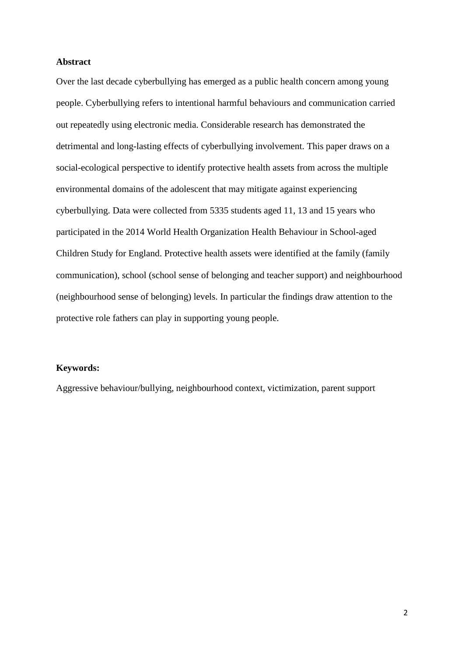#### **Abstract**

Over the last decade cyberbullying has emerged as a public health concern among young people. Cyberbullying refers to intentional harmful behaviours and communication carried out repeatedly using electronic media. Considerable research has demonstrated the detrimental and long-lasting effects of cyberbullying involvement. This paper draws on a social-ecological perspective to identify protective health assets from across the multiple environmental domains of the adolescent that may mitigate against experiencing cyberbullying. Data were collected from 5335 students aged 11, 13 and 15 years who participated in the 2014 World Health Organization Health Behaviour in School-aged Children Study for England. Protective health assets were identified at the family (family communication), school (school sense of belonging and teacher support) and neighbourhood (neighbourhood sense of belonging) levels. In particular the findings draw attention to the protective role fathers can play in supporting young people.

#### **Keywords:**

Aggressive behaviour/bullying, neighbourhood context, victimization, parent support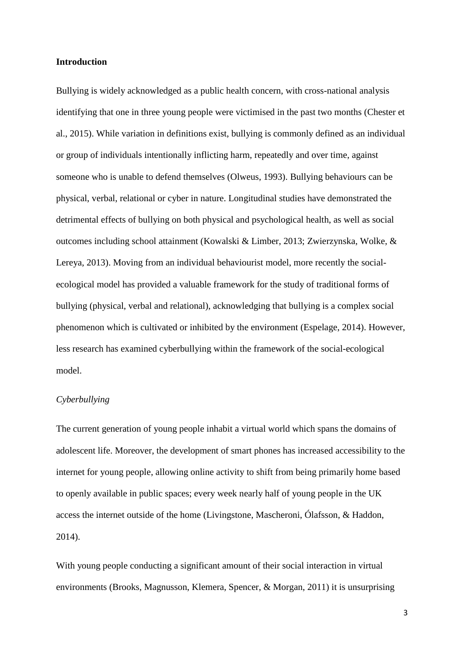#### **Introduction**

Bullying is widely acknowledged as a public health concern, with cross-national analysis identifying that one in three young people were victimised in the past two months (Chester et al., 2015). While variation in definitions exist, bullying is commonly defined as an individual or group of individuals intentionally inflicting harm, repeatedly and over time, against someone who is unable to defend themselves (Olweus, 1993). Bullying behaviours can be physical, verbal, relational or cyber in nature. Longitudinal studies have demonstrated the detrimental effects of bullying on both physical and psychological health, as well as social outcomes including school attainment (Kowalski & Limber, 2013; Zwierzynska, Wolke, & Lereya, 2013). Moving from an individual behaviourist model, more recently the socialecological model has provided a valuable framework for the study of traditional forms of bullying (physical, verbal and relational), acknowledging that bullying is a complex social phenomenon which is cultivated or inhibited by the environment (Espelage, 2014). However, less research has examined cyberbullying within the framework of the social-ecological model.

#### *Cyberbullying*

The current generation of young people inhabit a virtual world which spans the domains of adolescent life. Moreover, the development of smart phones has increased accessibility to the internet for young people, allowing online activity to shift from being primarily home based to openly available in public spaces; every week nearly half of young people in the UK access the internet outside of the home (Livingstone, Mascheroni, Ólafsson, & Haddon, 2014).

With young people conducting a significant amount of their social interaction in virtual environments (Brooks, Magnusson, Klemera, Spencer, & Morgan, 2011) it is unsurprising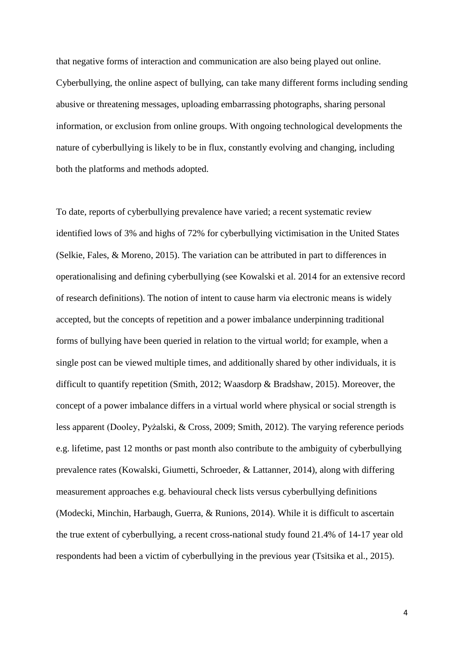that negative forms of interaction and communication are also being played out online. Cyberbullying, the online aspect of bullying, can take many different forms including sending abusive or threatening messages, uploading embarrassing photographs, sharing personal information, or exclusion from online groups. With ongoing technological developments the nature of cyberbullying is likely to be in flux, constantly evolving and changing, including both the platforms and methods adopted.

To date, reports of cyberbullying prevalence have varied; a recent systematic review identified lows of 3% and highs of 72% for cyberbullying victimisation in the United States (Selkie, Fales, & Moreno, 2015). The variation can be attributed in part to differences in operationalising and defining cyberbullying (see Kowalski et al. 2014 for an extensive record of research definitions). The notion of intent to cause harm via electronic means is widely accepted, but the concepts of repetition and a power imbalance underpinning traditional forms of bullying have been queried in relation to the virtual world; for example, when a single post can be viewed multiple times, and additionally shared by other individuals, it is difficult to quantify repetition (Smith, 2012; Waasdorp & Bradshaw, 2015). Moreover, the concept of a power imbalance differs in a virtual world where physical or social strength is less apparent (Dooley, Pyżalski, & Cross, 2009; Smith, 2012). The varying reference periods e.g. lifetime, past 12 months or past month also contribute to the ambiguity of cyberbullying prevalence rates (Kowalski, Giumetti, Schroeder, & Lattanner, 2014), along with differing measurement approaches e.g. behavioural check lists versus cyberbullying definitions (Modecki, Minchin, Harbaugh, Guerra, & Runions, 2014). While it is difficult to ascertain the true extent of cyberbullying, a recent cross-national study found 21.4% of 14-17 year old respondents had been a victim of cyberbullying in the previous year (Tsitsika et al., 2015).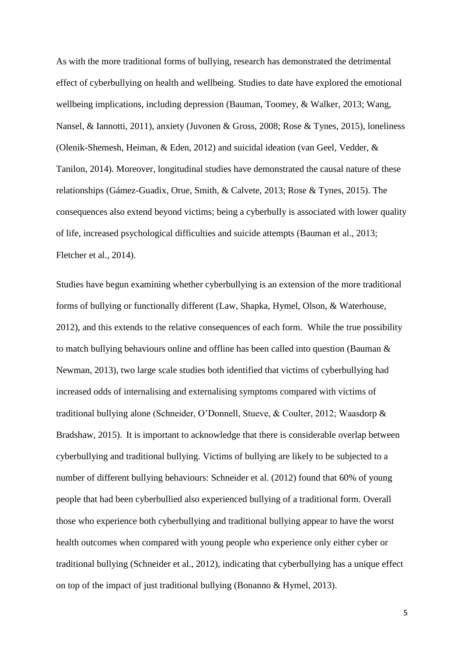As with the more traditional forms of bullying, research has demonstrated the detrimental effect of cyberbullying on health and wellbeing. Studies to date have explored the emotional wellbeing implications, including depression (Bauman, Toomey, & Walker, 2013; Wang, Nansel, & Iannotti, 2011), anxiety (Juvonen & Gross, 2008; Rose & Tynes, 2015), loneliness (Olenik-Shemesh, Heiman, & Eden, 2012) and suicidal ideation (van Geel, Vedder, & Tanilon, 2014). Moreover, longitudinal studies have demonstrated the causal nature of these relationships (Gámez-Guadix, Orue, Smith, & Calvete, 2013; Rose & Tynes, 2015). The consequences also extend beyond victims; being a cyberbully is associated with lower quality of life, increased psychological difficulties and suicide attempts (Bauman et al., 2013; Fletcher et al., 2014).

Studies have begun examining whether cyberbullying is an extension of the more traditional forms of bullying or functionally different (Law, Shapka, Hymel, Olson, & Waterhouse, 2012), and this extends to the relative consequences of each form. While the true possibility to match bullying behaviours online and offline has been called into question (Bauman & Newman, 2013), two large scale studies both identified that victims of cyberbullying had increased odds of internalising and externalising symptoms compared with victims of traditional bullying alone (Schneider, O'Donnell, Stueve, & Coulter, 2012; Waasdorp & Bradshaw, 2015). It is important to acknowledge that there is considerable overlap between cyberbullying and traditional bullying. Victims of bullying are likely to be subjected to a number of different bullying behaviours: Schneider et al. (2012) found that 60% of young people that had been cyberbullied also experienced bullying of a traditional form. Overall those who experience both cyberbullying and traditional bullying appear to have the worst health outcomes when compared with young people who experience only either cyber or traditional bullying (Schneider et al., 2012), indicating that cyberbullying has a unique effect on top of the impact of just traditional bullying (Bonanno & Hymel, 2013).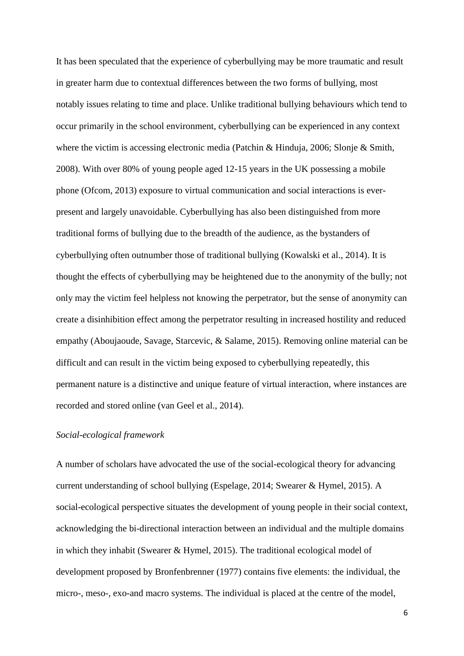It has been speculated that the experience of cyberbullying may be more traumatic and result in greater harm due to contextual differences between the two forms of bullying, most notably issues relating to time and place. Unlike traditional bullying behaviours which tend to occur primarily in the school environment, cyberbullying can be experienced in any context where the victim is accessing electronic media (Patchin & Hinduja, 2006; Slonje & Smith, 2008). With over 80% of young people aged 12-15 years in the UK possessing a mobile phone (Ofcom, 2013) exposure to virtual communication and social interactions is everpresent and largely unavoidable. Cyberbullying has also been distinguished from more traditional forms of bullying due to the breadth of the audience, as the bystanders of cyberbullying often outnumber those of traditional bullying (Kowalski et al., 2014). It is thought the effects of cyberbullying may be heightened due to the anonymity of the bully; not only may the victim feel helpless not knowing the perpetrator, but the sense of anonymity can create a disinhibition effect among the perpetrator resulting in increased hostility and reduced empathy (Aboujaoude, Savage, Starcevic, & Salame, 2015). Removing online material can be difficult and can result in the victim being exposed to cyberbullying repeatedly, this permanent nature is a distinctive and unique feature of virtual interaction, where instances are recorded and stored online (van Geel et al., 2014).

#### *Social-ecological framework*

A number of scholars have advocated the use of the social-ecological theory for advancing current understanding of school bullying (Espelage, 2014; Swearer & Hymel, 2015). A social-ecological perspective situates the development of young people in their social context, acknowledging the bi-directional interaction between an individual and the multiple domains in which they inhabit (Swearer & Hymel, 2015). The traditional ecological model of development proposed by Bronfenbrenner (1977) contains five elements: the individual, the micro-, meso-, exo-and macro systems. The individual is placed at the centre of the model,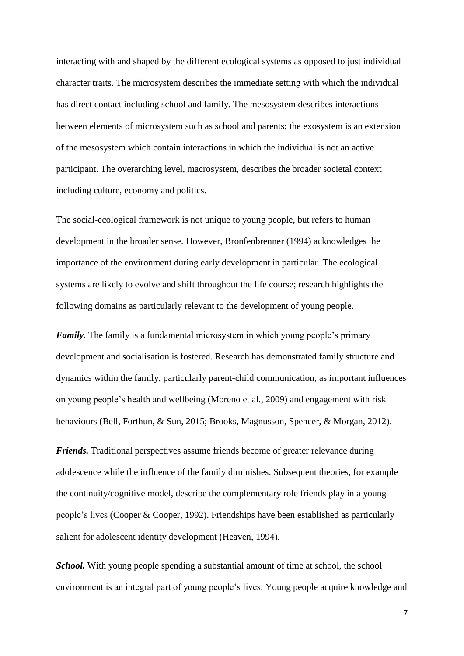interacting with and shaped by the different ecological systems as opposed to just individual character traits. The microsystem describes the immediate setting with which the individual has direct contact including school and family. The mesosystem describes interactions between elements of microsystem such as school and parents; the exosystem is an extension of the mesosystem which contain interactions in which the individual is not an active participant. The overarching level, macrosystem, describes the broader societal context including culture, economy and politics.

The social-ecological framework is not unique to young people, but refers to human development in the broader sense. However, Bronfenbrenner (1994) acknowledges the importance of the environment during early development in particular. The ecological systems are likely to evolve and shift throughout the life course; research highlights the following domains as particularly relevant to the development of young people.

*Family*. The family is a fundamental microsystem in which young people's primary development and socialisation is fostered. Research has demonstrated family structure and dynamics within the family, particularly parent-child communication, as important influences on young people's health and wellbeing (Moreno et al., 2009) and engagement with risk behaviours (Bell, Forthun, & Sun, 2015; Brooks, Magnusson, Spencer, & Morgan, 2012).

*Friends.* Traditional perspectives assume friends become of greater relevance during adolescence while the influence of the family diminishes. Subsequent theories, for example the continuity/cognitive model, describe the complementary role friends play in a young people's lives (Cooper & Cooper, 1992). Friendships have been established as particularly salient for adolescent identity development (Heaven, 1994).

*School.* With young people spending a substantial amount of time at school, the school environment is an integral part of young people's lives. Young people acquire knowledge and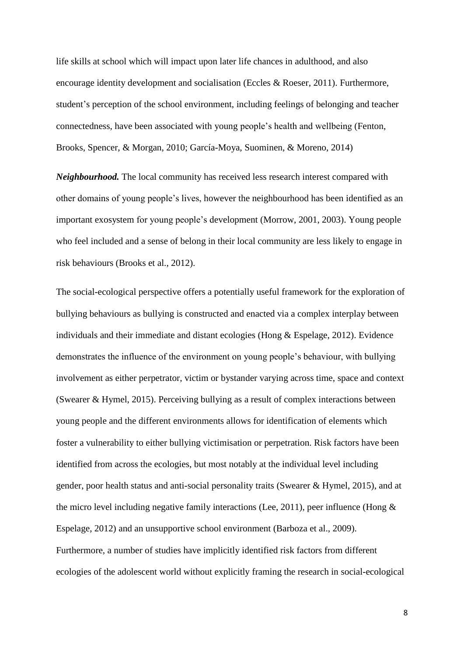life skills at school which will impact upon later life chances in adulthood, and also encourage identity development and socialisation (Eccles & Roeser, 2011). Furthermore, student's perception of the school environment, including feelings of belonging and teacher connectedness, have been associated with young people's health and wellbeing (Fenton, Brooks, Spencer, & Morgan, 2010; García-Moya, Suominen, & Moreno, 2014)

*Neighbourhood.* The local community has received less research interest compared with other domains of young people's lives, however the neighbourhood has been identified as an important exosystem for young people's development (Morrow, 2001, 2003). Young people who feel included and a sense of belong in their local community are less likely to engage in risk behaviours (Brooks et al., 2012).

The social-ecological perspective offers a potentially useful framework for the exploration of bullying behaviours as bullying is constructed and enacted via a complex interplay between individuals and their immediate and distant ecologies (Hong & Espelage, 2012). Evidence demonstrates the influence of the environment on young people's behaviour, with bullying involvement as either perpetrator, victim or bystander varying across time, space and context (Swearer & Hymel, 2015). Perceiving bullying as a result of complex interactions between young people and the different environments allows for identification of elements which foster a vulnerability to either bullying victimisation or perpetration. Risk factors have been identified from across the ecologies, but most notably at the individual level including gender, poor health status and anti-social personality traits (Swearer  $\&$  Hymel, 2015), and at the micro level including negative family interactions (Lee, 2011), peer influence (Hong  $\&$ Espelage, 2012) and an unsupportive school environment (Barboza et al., 2009). Furthermore, a number of studies have implicitly identified risk factors from different ecologies of the adolescent world without explicitly framing the research in social-ecological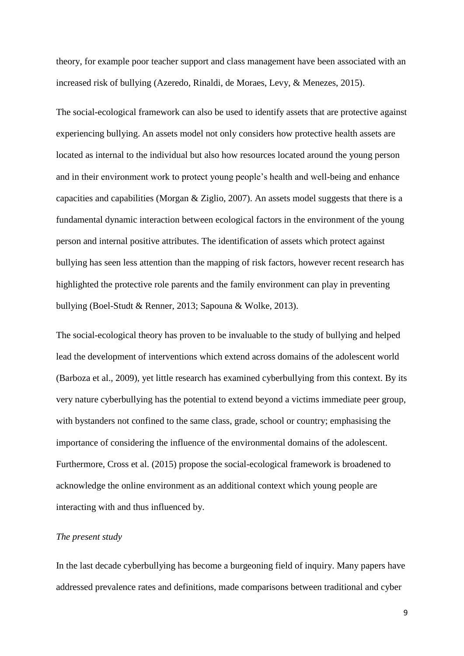theory, for example poor teacher support and class management have been associated with an increased risk of bullying (Azeredo, Rinaldi, de Moraes, Levy, & Menezes, 2015).

The social-ecological framework can also be used to identify assets that are protective against experiencing bullying. An assets model not only considers how protective health assets are located as internal to the individual but also how resources located around the young person and in their environment work to protect young people's health and well-being and enhance capacities and capabilities (Morgan & Ziglio, 2007). An assets model suggests that there is a fundamental dynamic interaction between ecological factors in the environment of the young person and internal positive attributes. The identification of assets which protect against bullying has seen less attention than the mapping of risk factors, however recent research has highlighted the protective role parents and the family environment can play in preventing bullying (Boel-Studt & Renner, 2013; Sapouna & Wolke, 2013).

The social-ecological theory has proven to be invaluable to the study of bullying and helped lead the development of interventions which extend across domains of the adolescent world (Barboza et al., 2009), yet little research has examined cyberbullying from this context. By its very nature cyberbullying has the potential to extend beyond a victims immediate peer group, with bystanders not confined to the same class, grade, school or country; emphasising the importance of considering the influence of the environmental domains of the adolescent. Furthermore, Cross et al. (2015) propose the social-ecological framework is broadened to acknowledge the online environment as an additional context which young people are interacting with and thus influenced by.

#### *The present study*

In the last decade cyberbullying has become a burgeoning field of inquiry. Many papers have addressed prevalence rates and definitions, made comparisons between traditional and cyber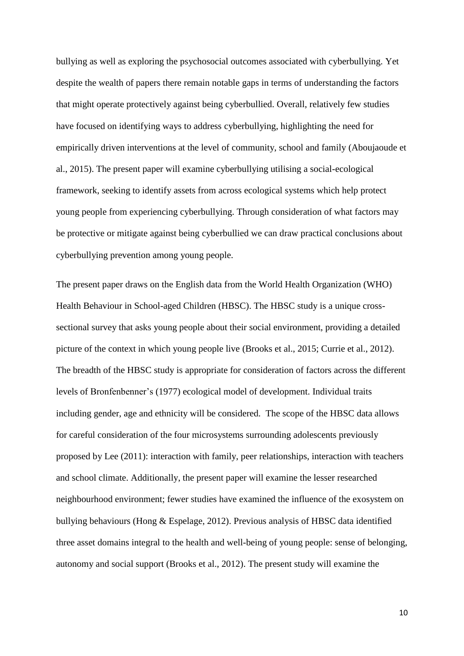bullying as well as exploring the psychosocial outcomes associated with cyberbullying. Yet despite the wealth of papers there remain notable gaps in terms of understanding the factors that might operate protectively against being cyberbullied. Overall, relatively few studies have focused on identifying ways to address cyberbullying, highlighting the need for empirically driven interventions at the level of community, school and family (Aboujaoude et al., 2015). The present paper will examine cyberbullying utilising a social-ecological framework, seeking to identify assets from across ecological systems which help protect young people from experiencing cyberbullying. Through consideration of what factors may be protective or mitigate against being cyberbullied we can draw practical conclusions about cyberbullying prevention among young people.

The present paper draws on the English data from the World Health Organization (WHO) Health Behaviour in School-aged Children (HBSC). The HBSC study is a unique crosssectional survey that asks young people about their social environment, providing a detailed picture of the context in which young people live (Brooks et al., 2015; Currie et al., 2012). The breadth of the HBSC study is appropriate for consideration of factors across the different levels of Bronfenbenner's (1977) ecological model of development. Individual traits including gender, age and ethnicity will be considered. The scope of the HBSC data allows for careful consideration of the four microsystems surrounding adolescents previously proposed by Lee (2011): interaction with family, peer relationships, interaction with teachers and school climate. Additionally, the present paper will examine the lesser researched neighbourhood environment; fewer studies have examined the influence of the exosystem on bullying behaviours (Hong & Espelage, 2012). Previous analysis of HBSC data identified three asset domains integral to the health and well-being of young people: sense of belonging, autonomy and social support (Brooks et al., 2012). The present study will examine the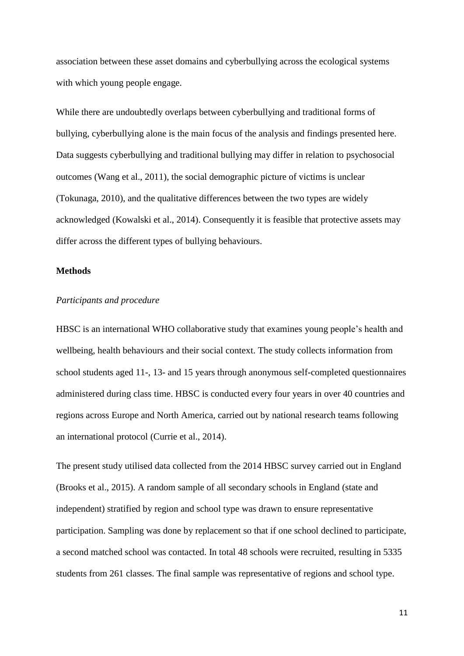association between these asset domains and cyberbullying across the ecological systems with which young people engage.

While there are undoubtedly overlaps between cyberbullying and traditional forms of bullying, cyberbullying alone is the main focus of the analysis and findings presented here. Data suggests cyberbullying and traditional bullying may differ in relation to psychosocial outcomes (Wang et al., 2011), the social demographic picture of victims is unclear (Tokunaga, 2010), and the qualitative differences between the two types are widely acknowledged (Kowalski et al., 2014). Consequently it is feasible that protective assets may differ across the different types of bullying behaviours.

#### **Methods**

#### *Participants and procedure*

HBSC is an international WHO collaborative study that examines young people's health and wellbeing, health behaviours and their social context. The study collects information from school students aged 11-, 13- and 15 years through anonymous self-completed questionnaires administered during class time. HBSC is conducted every four years in over 40 countries and regions across Europe and North America, carried out by national research teams following an international protocol (Currie et al., 2014).

The present study utilised data collected from the 2014 HBSC survey carried out in England (Brooks et al., 2015). A random sample of all secondary schools in England (state and independent) stratified by region and school type was drawn to ensure representative participation. Sampling was done by replacement so that if one school declined to participate, a second matched school was contacted. In total 48 schools were recruited, resulting in 5335 students from 261 classes. The final sample was representative of regions and school type.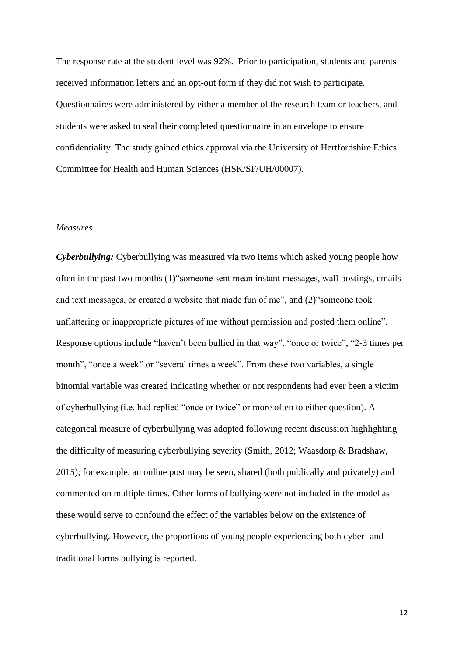The response rate at the student level was 92%. Prior to participation, students and parents received information letters and an opt-out form if they did not wish to participate. Questionnaires were administered by either a member of the research team or teachers, and students were asked to seal their completed questionnaire in an envelope to ensure confidentiality. The study gained ethics approval via the University of Hertfordshire Ethics Committee for Health and Human Sciences (HSK/SF/UH/00007).

#### *Measures*

*Cyberbullying:* Cyberbullying was measured via two items which asked young people how often in the past two months (1)"someone sent mean instant messages, wall postings, emails and text messages, or created a website that made fun of me", and (2)"someone took unflattering or inappropriate pictures of me without permission and posted them online". Response options include "haven't been bullied in that way", "once or twice", "2-3 times per month", "once a week" or "several times a week". From these two variables, a single binomial variable was created indicating whether or not respondents had ever been a victim of cyberbullying (i.e. had replied "once or twice" or more often to either question). A categorical measure of cyberbullying was adopted following recent discussion highlighting the difficulty of measuring cyberbullying severity (Smith, 2012; Waasdorp & Bradshaw, 2015); for example, an online post may be seen, shared (both publically and privately) and commented on multiple times. Other forms of bullying were not included in the model as these would serve to confound the effect of the variables below on the existence of cyberbullying. However, the proportions of young people experiencing both cyber- and traditional forms bullying is reported.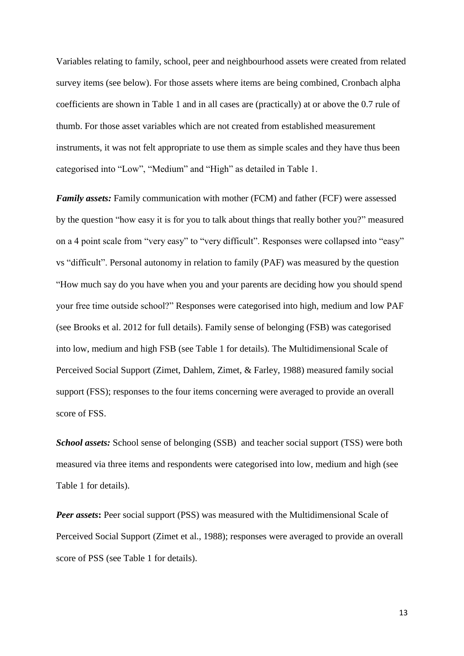Variables relating to family, school, peer and neighbourhood assets were created from related survey items (see below). For those assets where items are being combined, Cronbach alpha coefficients are shown in Table 1 and in all cases are (practically) at or above the 0.7 rule of thumb. For those asset variables which are not created from established measurement instruments, it was not felt appropriate to use them as simple scales and they have thus been categorised into "Low", "Medium" and "High" as detailed in Table 1.

*Family assets:* Family communication with mother (FCM) and father (FCF) were assessed by the question "how easy it is for you to talk about things that really bother you?" measured on a 4 point scale from "very easy" to "very difficult". Responses were collapsed into "easy" vs "difficult". Personal autonomy in relation to family (PAF) was measured by the question "How much say do you have when you and your parents are deciding how you should spend your free time outside school?" Responses were categorised into high, medium and low PAF (see Brooks et al. 2012 for full details). Family sense of belonging (FSB) was categorised into low, medium and high FSB (see Table 1 for details). The Multidimensional Scale of Perceived Social Support (Zimet, Dahlem, Zimet, & Farley, 1988) measured family social support (FSS); responses to the four items concerning were averaged to provide an overall score of FSS.

*School assets:* School sense of belonging (SSB) and teacher social support (TSS) were both measured via three items and respondents were categorised into low, medium and high (see Table 1 for details).

*Peer assets*: Peer social support (PSS) was measured with the Multidimensional Scale of Perceived Social Support (Zimet et al., 1988); responses were averaged to provide an overall score of PSS (see Table 1 for details).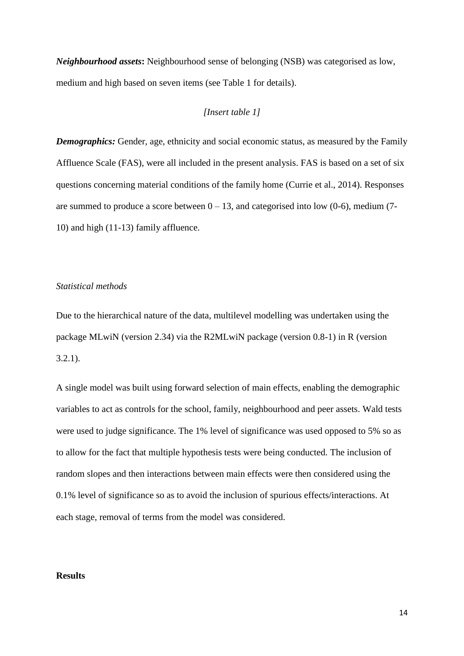*Neighbourhood assets***:** Neighbourhood sense of belonging (NSB) was categorised as low, medium and high based on seven items (see Table 1 for details).

#### *[Insert table 1]*

*Demographics:* Gender, age, ethnicity and social economic status, as measured by the Family Affluence Scale (FAS), were all included in the present analysis. FAS is based on a set of six questions concerning material conditions of the family home (Currie et al., 2014). Responses are summed to produce a score between  $0 - 13$ , and categorised into low (0-6), medium (7-10) and high (11-13) family affluence.

#### *Statistical methods*

Due to the hierarchical nature of the data, multilevel modelling was undertaken using the package MLwiN (version 2.34) via the R2MLwiN package (version 0.8-1) in R (version 3.2.1).

A single model was built using forward selection of main effects, enabling the demographic variables to act as controls for the school, family, neighbourhood and peer assets. Wald tests were used to judge significance. The 1% level of significance was used opposed to 5% so as to allow for the fact that multiple hypothesis tests were being conducted. The inclusion of random slopes and then interactions between main effects were then considered using the 0.1% level of significance so as to avoid the inclusion of spurious effects/interactions. At each stage, removal of terms from the model was considered.

#### **Results**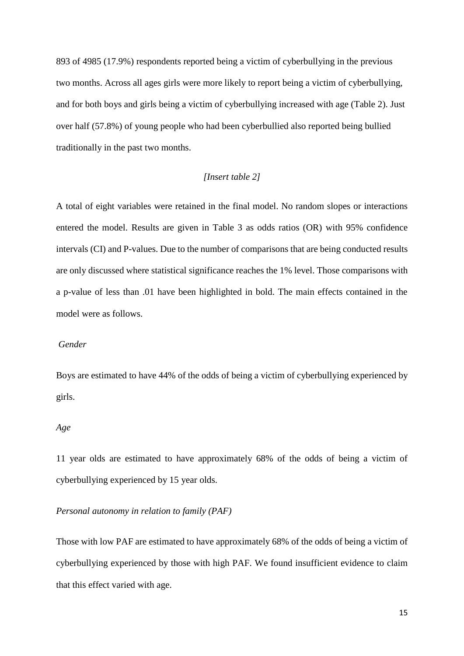893 of 4985 (17.9%) respondents reported being a victim of cyberbullying in the previous two months. Across all ages girls were more likely to report being a victim of cyberbullying, and for both boys and girls being a victim of cyberbullying increased with age (Table 2). Just over half (57.8%) of young people who had been cyberbullied also reported being bullied traditionally in the past two months.

#### *[Insert table 2]*

A total of eight variables were retained in the final model. No random slopes or interactions entered the model. Results are given in Table 3 as odds ratios (OR) with 95% confidence intervals (CI) and P-values. Due to the number of comparisons that are being conducted results are only discussed where statistical significance reaches the 1% level. Those comparisons with a p-value of less than .01 have been highlighted in bold. The main effects contained in the model were as follows.

#### *Gender*

Boys are estimated to have 44% of the odds of being a victim of cyberbullying experienced by girls.

#### *Age*

11 year olds are estimated to have approximately 68% of the odds of being a victim of cyberbullying experienced by 15 year olds.

#### *Personal autonomy in relation to family (PAF)*

Those with low PAF are estimated to have approximately 68% of the odds of being a victim of cyberbullying experienced by those with high PAF. We found insufficient evidence to claim that this effect varied with age.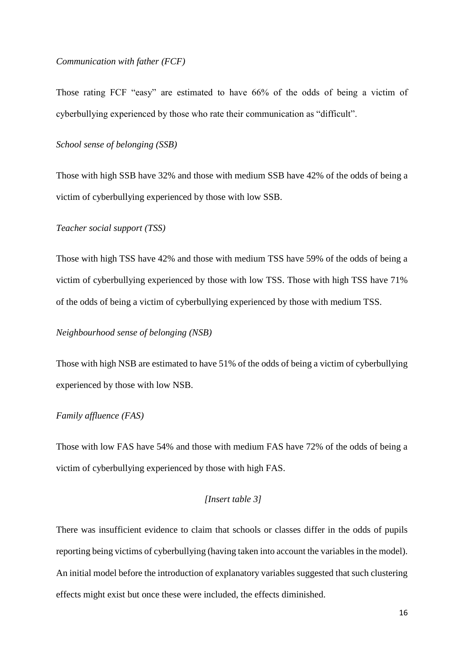#### *Communication with father (FCF)*

Those rating FCF "easy" are estimated to have 66% of the odds of being a victim of cyberbullying experienced by those who rate their communication as "difficult".

#### *School sense of belonging (SSB)*

Those with high SSB have 32% and those with medium SSB have 42% of the odds of being a victim of cyberbullying experienced by those with low SSB.

#### *Teacher social support (TSS)*

Those with high TSS have 42% and those with medium TSS have 59% of the odds of being a victim of cyberbullying experienced by those with low TSS. Those with high TSS have 71% of the odds of being a victim of cyberbullying experienced by those with medium TSS.

#### *Neighbourhood sense of belonging (NSB)*

Those with high NSB are estimated to have 51% of the odds of being a victim of cyberbullying experienced by those with low NSB.

#### *Family affluence (FAS)*

Those with low FAS have 54% and those with medium FAS have 72% of the odds of being a victim of cyberbullying experienced by those with high FAS.

#### *[Insert table 3]*

There was insufficient evidence to claim that schools or classes differ in the odds of pupils reporting being victims of cyberbullying (having taken into account the variables in the model). An initial model before the introduction of explanatory variables suggested that such clustering effects might exist but once these were included, the effects diminished.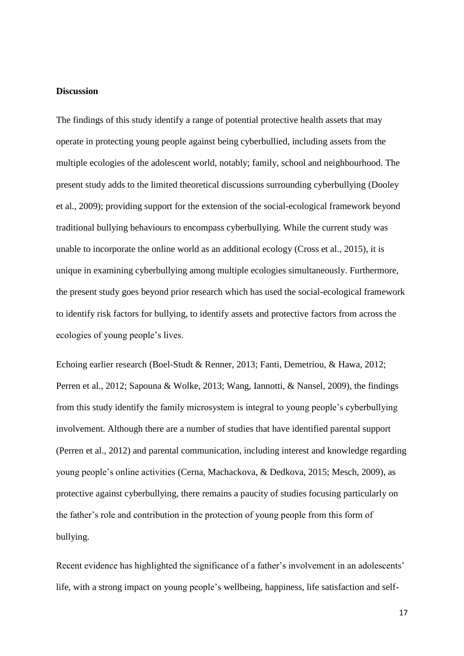#### **Discussion**

The findings of this study identify a range of potential protective health assets that may operate in protecting young people against being cyberbullied, including assets from the multiple ecologies of the adolescent world, notably; family, school and neighbourhood. The present study adds to the limited theoretical discussions surrounding cyberbullying (Dooley et al., 2009); providing support for the extension of the social-ecological framework beyond traditional bullying behaviours to encompass cyberbullying. While the current study was unable to incorporate the online world as an additional ecology (Cross et al., 2015), it is unique in examining cyberbullying among multiple ecologies simultaneously. Furthermore, the present study goes beyond prior research which has used the social-ecological framework to identify risk factors for bullying, to identify assets and protective factors from across the ecologies of young people's lives.

Echoing earlier research (Boel-Studt & Renner, 2013; Fanti, Demetriou, & Hawa, 2012; Perren et al., 2012; Sapouna & Wolke, 2013; Wang, Iannotti, & Nansel, 2009), the findings from this study identify the family microsystem is integral to young people's cyberbullying involvement. Although there are a number of studies that have identified parental support (Perren et al., 2012) and parental communication, including interest and knowledge regarding young people's online activities (Cerna, Machackova, & Dedkova, 2015; Mesch, 2009), as protective against cyberbullying, there remains a paucity of studies focusing particularly on the father's role and contribution in the protection of young people from this form of bullying.

Recent evidence has highlighted the significance of a father's involvement in an adolescents' life, with a strong impact on young people's wellbeing, happiness, life satisfaction and self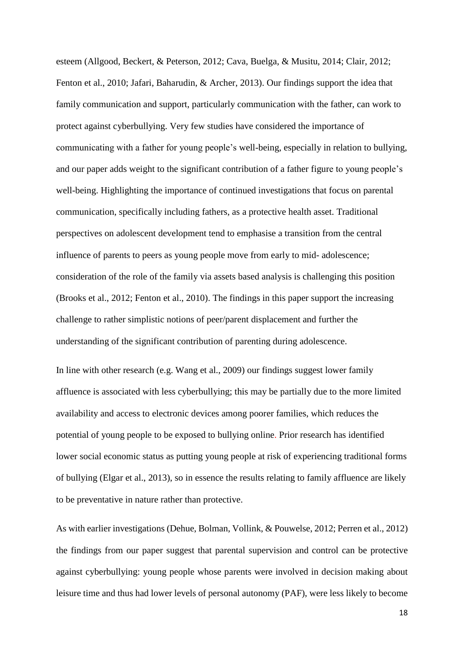esteem (Allgood, Beckert, & Peterson, 2012; Cava, Buelga, & Musitu, 2014; Clair, 2012; Fenton et al., 2010; Jafari, Baharudin, & Archer, 2013). Our findings support the idea that family communication and support, particularly communication with the father, can work to protect against cyberbullying. Very few studies have considered the importance of communicating with a father for young people's well-being, especially in relation to bullying, and our paper adds weight to the significant contribution of a father figure to young people's well-being. Highlighting the importance of continued investigations that focus on parental communication, specifically including fathers, as a protective health asset. Traditional perspectives on adolescent development tend to emphasise a transition from the central influence of parents to peers as young people move from early to mid- adolescence; consideration of the role of the family via assets based analysis is challenging this position (Brooks et al., 2012; Fenton et al., 2010). The findings in this paper support the increasing challenge to rather simplistic notions of peer/parent displacement and further the understanding of the significant contribution of parenting during adolescence.

In line with other research (e.g. Wang et al., 2009) our findings suggest lower family affluence is associated with less cyberbullying; this may be partially due to the more limited availability and access to electronic devices among poorer families, which reduces the potential of young people to be exposed to bullying online. Prior research has identified lower social economic status as putting young people at risk of experiencing traditional forms of bullying (Elgar et al., 2013), so in essence the results relating to family affluence are likely to be preventative in nature rather than protective.

As with earlier investigations (Dehue, Bolman, Vollink, & Pouwelse, 2012; Perren et al., 2012) the findings from our paper suggest that parental supervision and control can be protective against cyberbullying: young people whose parents were involved in decision making about leisure time and thus had lower levels of personal autonomy (PAF), were less likely to become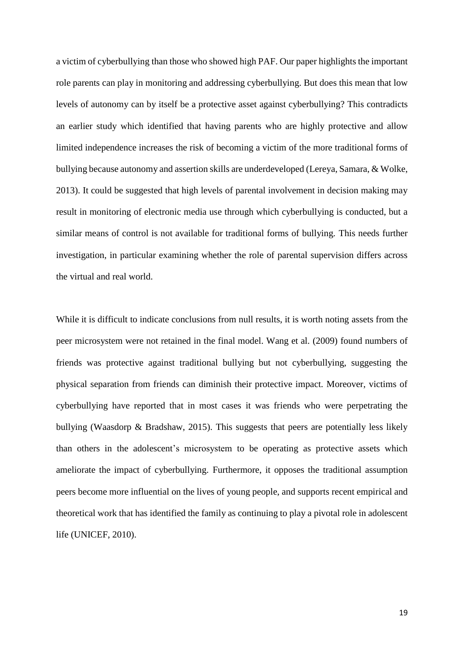a victim of cyberbullying than those who showed high PAF. Our paper highlights the important role parents can play in monitoring and addressing cyberbullying. But does this mean that low levels of autonomy can by itself be a protective asset against cyberbullying? This contradicts an earlier study which identified that having parents who are highly protective and allow limited independence increases the risk of becoming a victim of the more traditional forms of bullying because autonomy and assertion skills are underdeveloped (Lereya, Samara, & Wolke, 2013). It could be suggested that high levels of parental involvement in decision making may result in monitoring of electronic media use through which cyberbullying is conducted, but a similar means of control is not available for traditional forms of bullying. This needs further investigation, in particular examining whether the role of parental supervision differs across the virtual and real world.

While it is difficult to indicate conclusions from null results, it is worth noting assets from the peer microsystem were not retained in the final model. Wang et al. (2009) found numbers of friends was protective against traditional bullying but not cyberbullying, suggesting the physical separation from friends can diminish their protective impact. Moreover, victims of cyberbullying have reported that in most cases it was friends who were perpetrating the bullying (Waasdorp & Bradshaw, 2015). This suggests that peers are potentially less likely than others in the adolescent's microsystem to be operating as protective assets which ameliorate the impact of cyberbullying. Furthermore, it opposes the traditional assumption peers become more influential on the lives of young people, and supports recent empirical and theoretical work that has identified the family as continuing to play a pivotal role in adolescent life (UNICEF, 2010).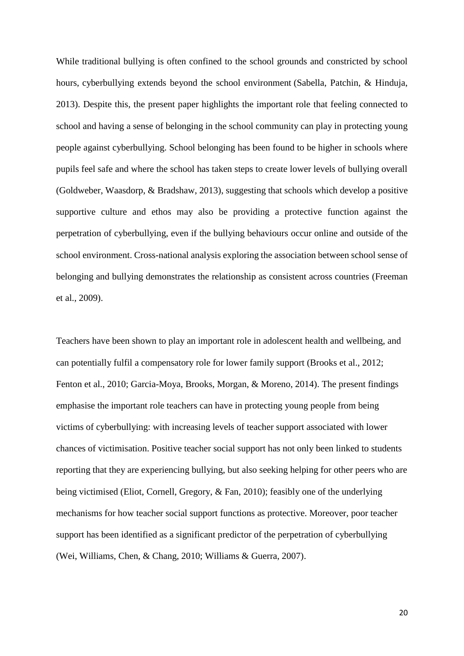While traditional bullying is often confined to the school grounds and constricted by school hours, cyberbullying extends beyond the school environment (Sabella, Patchin, & Hinduja, 2013). Despite this, the present paper highlights the important role that feeling connected to school and having a sense of belonging in the school community can play in protecting young people against cyberbullying. School belonging has been found to be higher in schools where pupils feel safe and where the school has taken steps to create lower levels of bullying overall (Goldweber, Waasdorp, & Bradshaw, 2013), suggesting that schools which develop a positive supportive culture and ethos may also be providing a protective function against the perpetration of cyberbullying, even if the bullying behaviours occur online and outside of the school environment. Cross-national analysis exploring the association between school sense of belonging and bullying demonstrates the relationship as consistent across countries (Freeman et al., 2009).

Teachers have been shown to play an important role in adolescent health and wellbeing, and can potentially fulfil a compensatory role for lower family support (Brooks et al., 2012; Fenton et al., 2010; Garcia-Moya, Brooks, Morgan, & Moreno, 2014). The present findings emphasise the important role teachers can have in protecting young people from being victims of cyberbullying: with increasing levels of teacher support associated with lower chances of victimisation. Positive teacher social support has not only been linked to students reporting that they are experiencing bullying, but also seeking helping for other peers who are being victimised (Eliot, Cornell, Gregory, & Fan, 2010); feasibly one of the underlying mechanisms for how teacher social support functions as protective. Moreover, poor teacher support has been identified as a significant predictor of the perpetration of cyberbullying (Wei, Williams, Chen, & Chang, 2010; Williams & Guerra, 2007).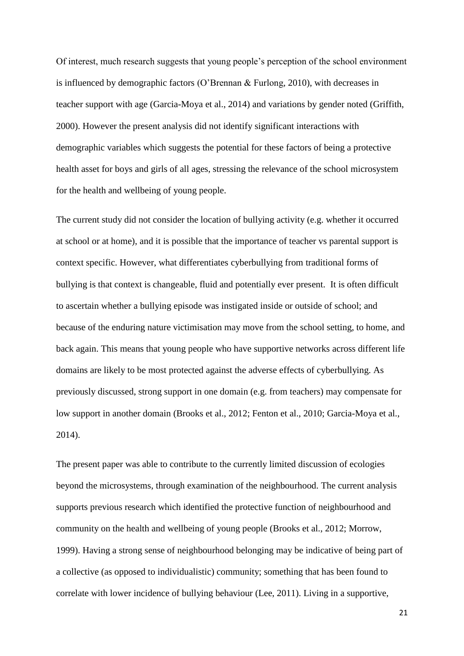Of interest, much research suggests that young people's perception of the school environment is influenced by demographic factors (O'Brennan & Furlong, 2010), with decreases in teacher support with age (Garcia-Moya et al., 2014) and variations by gender noted (Griffith, 2000). However the present analysis did not identify significant interactions with demographic variables which suggests the potential for these factors of being a protective health asset for boys and girls of all ages, stressing the relevance of the school microsystem for the health and wellbeing of young people.

The current study did not consider the location of bullying activity (e.g. whether it occurred at school or at home), and it is possible that the importance of teacher vs parental support is context specific. However, what differentiates cyberbullying from traditional forms of bullying is that context is changeable, fluid and potentially ever present. It is often difficult to ascertain whether a bullying episode was instigated inside or outside of school; and because of the enduring nature victimisation may move from the school setting, to home, and back again. This means that young people who have supportive networks across different life domains are likely to be most protected against the adverse effects of cyberbullying. As previously discussed, strong support in one domain (e.g. from teachers) may compensate for low support in another domain (Brooks et al., 2012; Fenton et al., 2010; Garcia-Moya et al., 2014).

The present paper was able to contribute to the currently limited discussion of ecologies beyond the microsystems, through examination of the neighbourhood. The current analysis supports previous research which identified the protective function of neighbourhood and community on the health and wellbeing of young people (Brooks et al., 2012; Morrow, 1999). Having a strong sense of neighbourhood belonging may be indicative of being part of a collective (as opposed to individualistic) community; something that has been found to correlate with lower incidence of bullying behaviour (Lee, 2011). Living in a supportive,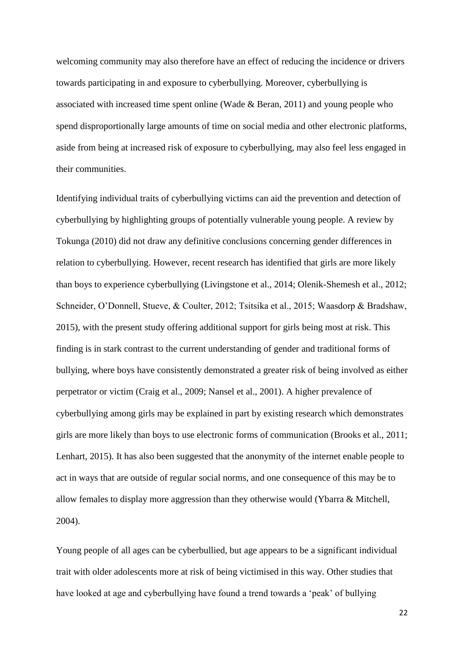welcoming community may also therefore have an effect of reducing the incidence or drivers towards participating in and exposure to cyberbullying. Moreover, cyberbullying is associated with increased time spent online (Wade & Beran, 2011) and young people who spend disproportionally large amounts of time on social media and other electronic platforms, aside from being at increased risk of exposure to cyberbullying, may also feel less engaged in their communities.

Identifying individual traits of cyberbullying victims can aid the prevention and detection of cyberbullying by highlighting groups of potentially vulnerable young people. A review by Tokunga (2010) did not draw any definitive conclusions concerning gender differences in relation to cyberbullying. However, recent research has identified that girls are more likely than boys to experience cyberbullying (Livingstone et al., 2014; Olenik-Shemesh et al., 2012; Schneider, O'Donnell, Stueve, & Coulter, 2012; Tsitsika et al., 2015; Waasdorp & Bradshaw, 2015), with the present study offering additional support for girls being most at risk. This finding is in stark contrast to the current understanding of gender and traditional forms of bullying, where boys have consistently demonstrated a greater risk of being involved as either perpetrator or victim (Craig et al., 2009; Nansel et al., 2001). A higher prevalence of cyberbullying among girls may be explained in part by existing research which demonstrates girls are more likely than boys to use electronic forms of communication (Brooks et al., 2011; Lenhart, 2015). It has also been suggested that the anonymity of the internet enable people to act in ways that are outside of regular social norms, and one consequence of this may be to allow females to display more aggression than they otherwise would (Ybarra & Mitchell, 2004).

Young people of all ages can be cyberbullied, but age appears to be a significant individual trait with older adolescents more at risk of being victimised in this way. Other studies that have looked at age and cyberbullying have found a trend towards a 'peak' of bullying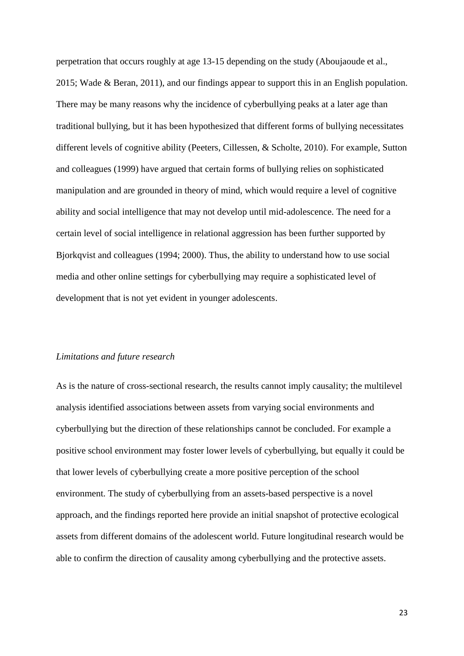perpetration that occurs roughly at age 13-15 depending on the study (Aboujaoude et al., 2015; Wade & Beran, 2011), and our findings appear to support this in an English population. There may be many reasons why the incidence of cyberbullying peaks at a later age than traditional bullying, but it has been hypothesized that different forms of bullying necessitates different levels of cognitive ability (Peeters, Cillessen, & Scholte, 2010). For example, Sutton and colleagues (1999) have argued that certain forms of bullying relies on sophisticated manipulation and are grounded in theory of mind, which would require a level of cognitive ability and social intelligence that may not develop until mid-adolescence. The need for a certain level of social intelligence in relational aggression has been further supported by Bjorkqvist and colleagues (1994; 2000). Thus, the ability to understand how to use social media and other online settings for cyberbullying may require a sophisticated level of development that is not yet evident in younger adolescents.

#### *Limitations and future research*

As is the nature of cross-sectional research, the results cannot imply causality; the multilevel analysis identified associations between assets from varying social environments and cyberbullying but the direction of these relationships cannot be concluded. For example a positive school environment may foster lower levels of cyberbullying, but equally it could be that lower levels of cyberbullying create a more positive perception of the school environment. The study of cyberbullying from an assets-based perspective is a novel approach, and the findings reported here provide an initial snapshot of protective ecological assets from different domains of the adolescent world. Future longitudinal research would be able to confirm the direction of causality among cyberbullying and the protective assets.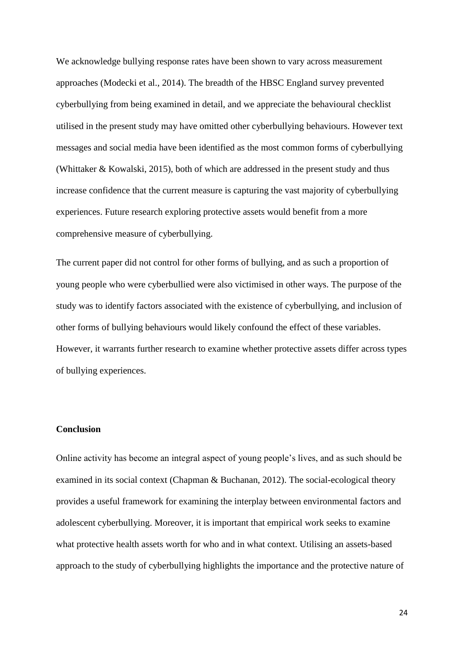We acknowledge bullying response rates have been shown to vary across measurement approaches (Modecki et al., 2014). The breadth of the HBSC England survey prevented cyberbullying from being examined in detail, and we appreciate the behavioural checklist utilised in the present study may have omitted other cyberbullying behaviours. However text messages and social media have been identified as the most common forms of cyberbullying (Whittaker & Kowalski, 2015), both of which are addressed in the present study and thus increase confidence that the current measure is capturing the vast majority of cyberbullying experiences. Future research exploring protective assets would benefit from a more comprehensive measure of cyberbullying.

The current paper did not control for other forms of bullying, and as such a proportion of young people who were cyberbullied were also victimised in other ways. The purpose of the study was to identify factors associated with the existence of cyberbullying, and inclusion of other forms of bullying behaviours would likely confound the effect of these variables. However, it warrants further research to examine whether protective assets differ across types of bullying experiences.

#### **Conclusion**

Online activity has become an integral aspect of young people's lives, and as such should be examined in its social context (Chapman & Buchanan, 2012). The social-ecological theory provides a useful framework for examining the interplay between environmental factors and adolescent cyberbullying. Moreover, it is important that empirical work seeks to examine what protective health assets worth for who and in what context. Utilising an assets-based approach to the study of cyberbullying highlights the importance and the protective nature of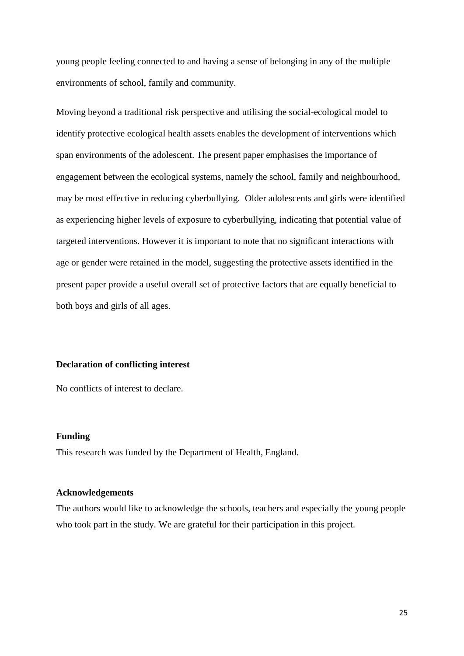young people feeling connected to and having a sense of belonging in any of the multiple environments of school, family and community.

Moving beyond a traditional risk perspective and utilising the social-ecological model to identify protective ecological health assets enables the development of interventions which span environments of the adolescent. The present paper emphasises the importance of engagement between the ecological systems, namely the school, family and neighbourhood, may be most effective in reducing cyberbullying. Older adolescents and girls were identified as experiencing higher levels of exposure to cyberbullying, indicating that potential value of targeted interventions. However it is important to note that no significant interactions with age or gender were retained in the model, suggesting the protective assets identified in the present paper provide a useful overall set of protective factors that are equally beneficial to both boys and girls of all ages.

#### **Declaration of conflicting interest**

No conflicts of interest to declare.

#### **Funding**

This research was funded by the Department of Health, England.

#### **Acknowledgements**

The authors would like to acknowledge the schools, teachers and especially the young people who took part in the study. We are grateful for their participation in this project.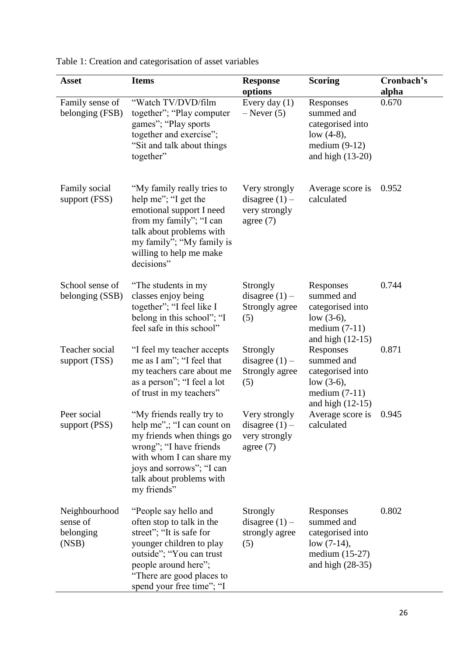| <b>Asset</b>                                    | <b>Items</b>                                                                                                                                                                                                             | <b>Response</b><br>options                                        | <b>Scoring</b>                                                                                          | Cronbach's<br>alpha |
|-------------------------------------------------|--------------------------------------------------------------------------------------------------------------------------------------------------------------------------------------------------------------------------|-------------------------------------------------------------------|---------------------------------------------------------------------------------------------------------|---------------------|
| Family sense of<br>belonging (FSB)              | "Watch TV/DVD/film<br>together"; "Play computer"<br>games"; "Play sports<br>together and exercise";<br>"Sit and talk about things<br>together"                                                                           | Every day $(1)$<br>$-$ Never $(5)$                                | Responses<br>summed and<br>categorised into<br>low $(4-8)$ ,<br>medium $(9-12)$<br>and high $(13-20)$   | 0.670               |
| <b>Family social</b><br>support (FSS)           | "My family really tries to<br>help me"; "I get the<br>emotional support I need<br>from my family"; "I can<br>talk about problems with<br>my family"; "My family is<br>willing to help me make<br>decisions"              | Very strongly<br>disagree $(1)$ –<br>very strongly<br>agree $(7)$ | Average score is<br>calculated                                                                          | 0.952               |
| School sense of<br>belonging (SSB)              | "The students in my<br>classes enjoy being<br>together"; "I feel like I<br>belong in this school"; "I<br>feel safe in this school"                                                                                       | Strongly<br>disagree $(1)$ –<br>Strongly agree<br>(5)             | Responses<br>summed and<br>categorised into<br>low $(3-6)$ ,<br>medium $(7-11)$<br>and high $(12-15)$   | 0.744               |
| Teacher social<br>support (TSS)                 | "I feel my teacher accepts"<br>me as I am"; "I feel that<br>my teachers care about me<br>as a person"; "I feel a lot<br>of trust in my teachers"                                                                         | Strongly<br>disagree $(1)$ –<br>Strongly agree<br>(5)             | Responses<br>summed and<br>categorised into<br>low $(3-6)$ ,<br>medium $(7-11)$<br>and high $(12-15)$   | 0.871               |
| Peer social<br>support (PSS)                    | "My friends really try to<br>help me",; "I can count on<br>my friends when things go<br>wrong"; "I have friends<br>with whom I can share my<br>joys and sorrows"; "I can<br>talk about problems with<br>my friends"      | Very strongly<br>disagree $(1)$ –<br>very strongly<br>agree $(7)$ | Average score is<br>calculated                                                                          | 0.945               |
| Neighbourhood<br>sense of<br>belonging<br>(NSB) | "People say hello and<br>often stop to talk in the<br>street"; "It is safe for<br>younger children to play<br>outside"; "You can trust<br>people around here";<br>"There are good places to<br>spend your free time"; "I | Strongly<br>disagree $(1)$ –<br>strongly agree<br>(5)             | Responses<br>summed and<br>categorised into<br>low $(7-14)$ ,<br>medium $(15-27)$<br>and high $(28-35)$ | 0.802               |

Table 1: Creation and categorisation of asset variables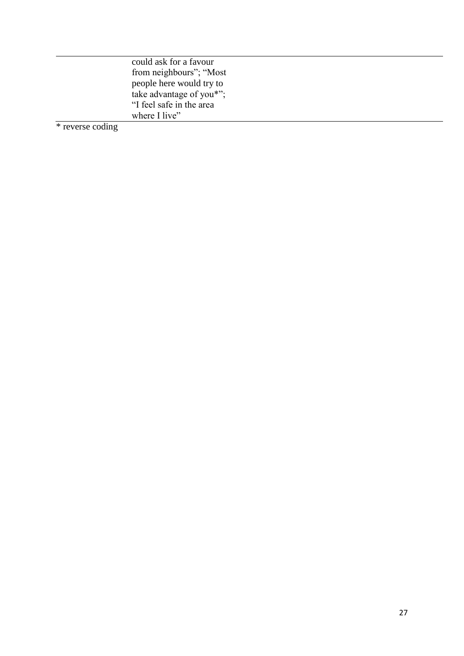| could ask for a favour   |
|--------------------------|
| from neighbours"; "Most  |
| people here would try to |
| take advantage of you*"; |
| "I feel safe in the area |
| where I live"            |

\* reverse coding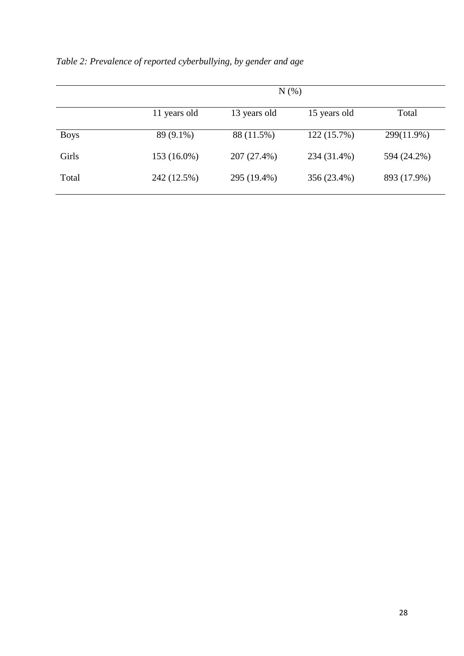|             | $N(\%)$      |              |              |             |
|-------------|--------------|--------------|--------------|-------------|
|             | 11 years old | 13 years old | 15 years old | Total       |
| <b>Boys</b> | 89 (9.1%)    | 88 (11.5%)   | 122 (15.7%)  | 299(11.9%)  |
| Girls       | 153 (16.0%)  | 207 (27.4%)  | 234 (31.4%)  | 594 (24.2%) |
| Total       | 242 (12.5%)  | 295 (19.4%)  | 356 (23.4%)  | 893 (17.9%) |

*Table 2: Prevalence of reported cyberbullying, by gender and age*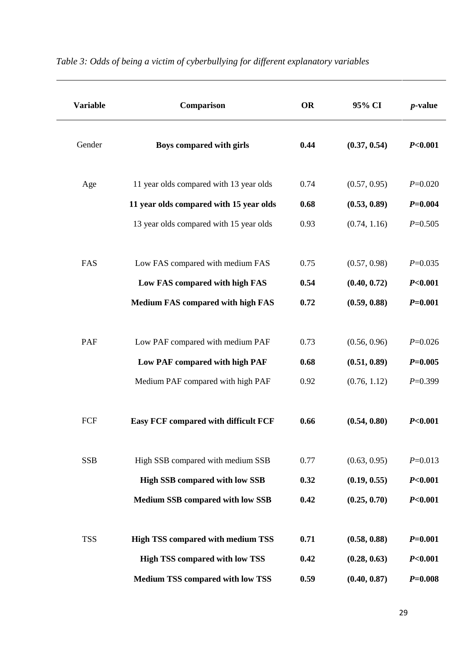| <b>Variable</b> | Comparison                                                                         | <b>OR</b>    | 95% CI                       | $p$ -value                        |
|-----------------|------------------------------------------------------------------------------------|--------------|------------------------------|-----------------------------------|
| Gender          | Boys compared with girls                                                           | 0.44         | (0.37, 0.54)                 | P <sub>0.001</sub>                |
| Age             | 11 year olds compared with 13 year olds                                            | 0.74         | (0.57, 0.95)                 | $P=0.020$                         |
|                 | 11 year olds compared with 15 year olds<br>13 year olds compared with 15 year olds | 0.68<br>0.93 | (0.53, 0.89)<br>(0.74, 1.16) | $P = 0.004$<br>$P=0.505$          |
| FAS             | Low FAS compared with medium FAS                                                   | 0.75         | (0.57, 0.98)                 | $P=0.035$                         |
|                 | Low FAS compared with high FAS<br><b>Medium FAS compared with high FAS</b>         | 0.54<br>0.72 | (0.40, 0.72)<br>(0.59, 0.88) | P <sub>0.001</sub><br>$P = 0.001$ |
| PAF             | Low PAF compared with medium PAF                                                   | 0.73         | (0.56, 0.96)                 | $P=0.026$                         |
|                 | Low PAF compared with high PAF                                                     | 0.68         | (0.51, 0.89)                 | $P = 0.005$                       |
|                 | Medium PAF compared with high PAF                                                  | 0.92         | (0.76, 1.12)                 | $P=0.399$                         |
| FCF             | <b>Easy FCF compared with difficult FCF</b>                                        | 0.66         | (0.54, 0.80)                 | P <sub>0.001</sub>                |
| <b>SSB</b>      | High SSB compared with medium SSB                                                  | 0.77         | (0.63, 0.95)                 | $P=0.013$                         |
|                 | <b>High SSB compared with low SSB</b>                                              | 0.32         | (0.19, 0.55)                 | P <sub>0.001</sub>                |
|                 | <b>Medium SSB compared with low SSB</b>                                            | 0.42         | (0.25, 0.70)                 | P <sub>0.001</sub>                |
| <b>TSS</b>      | <b>High TSS compared with medium TSS</b>                                           | 0.71         | (0.58, 0.88)                 | $P = 0.001$                       |
|                 | <b>High TSS compared with low TSS</b>                                              | 0.42         | (0.28, 0.63)                 | P <sub>0.001</sub>                |
|                 | <b>Medium TSS compared with low TSS</b>                                            | 0.59         | (0.40, 0.87)                 | $P = 0.008$                       |

## *Table 3: Odds of being a victim of cyberbullying for different explanatory variables*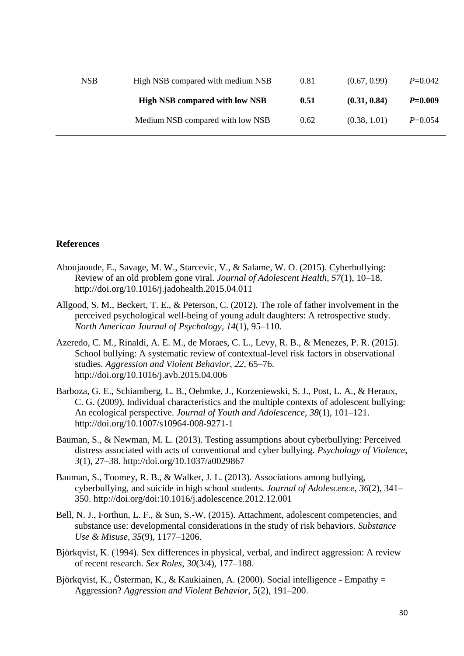| <b>NSB</b> | High NSB compared with medium NSB     | 0.81 | (0.67, 0.99) | $P=0.042$   |
|------------|---------------------------------------|------|--------------|-------------|
|            | <b>High NSB compared with low NSB</b> | 0.51 | (0.31, 0.84) | $P = 0.009$ |
|            | Medium NSB compared with low NSB      | 0.62 | (0.38, 1.01) | $P = 0.054$ |

#### **References**

- Aboujaoude, E., Savage, M. W., Starcevic, V., & Salame, W. O. (2015). Cyberbullying: Review of an old problem gone viral. *Journal of Adolescent Health*, *57*(1), 10–18. http://doi.org/10.1016/j.jadohealth.2015.04.011
- Allgood, S. M., Beckert, T. E., & Peterson, C. (2012). The role of father involvement in the perceived psychological well-being of young adult daughters: A retrospective study. *North American Journal of Psychology*, *14*(1), 95–110.
- Azeredo, C. M., Rinaldi, A. E. M., de Moraes, C. L., Levy, R. B., & Menezes, P. R. (2015). School bullying: A systematic review of contextual-level risk factors in observational studies. *Aggression and Violent Behavior*, *22*, 65–76. http://doi.org/10.1016/j.avb.2015.04.006
- Barboza, G. E., Schiamberg, L. B., Oehmke, J., Korzeniewski, S. J., Post, L. A., & Heraux, C. G. (2009). Individual characteristics and the multiple contexts of adolescent bullying: An ecological perspective. *Journal of Youth and Adolescence*, *38*(1), 101–121. http://doi.org/10.1007/s10964-008-9271-1
- Bauman, S., & Newman, M. L. (2013). Testing assumptions about cyberbullying: Perceived distress associated with acts of conventional and cyber bullying. *Psychology of Violence*, *3*(1), 27–38. http://doi.org/10.1037/a0029867
- Bauman, S., Toomey, R. B., & Walker, J. L. (2013). Associations among bullying, cyberbullying, and suicide in high school students. *Journal of Adolescence*, *36*(2), 341– 350. http://doi.org/doi:10.1016/j.adolescence.2012.12.001
- Bell, N. J., Forthun, L. F., & Sun, S.-W. (2015). Attachment, adolescent competencies, and substance use: developmental considerations in the study of risk behaviors. *Substance Use & Misuse*, *35*(9), 1177–1206.
- Björkqvist, K. (1994). Sex differences in physical, verbal, and indirect aggression: A review of recent research. *Sex Roles*, *30*(3/4), 177–188.
- Björkqvist, K., Österman, K., & Kaukiainen, A. (2000). Social intelligence Empathy = Aggression? *Aggression and Violent Behavior*, *5*(2), 191–200.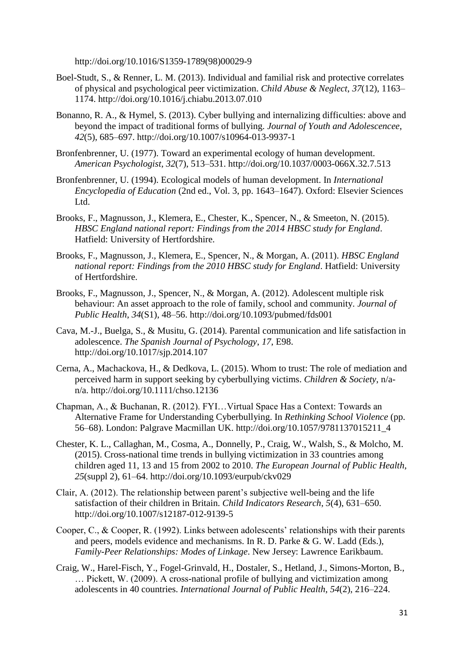http://doi.org/10.1016/S1359-1789(98)00029-9

- Boel-Studt, S., & Renner, L. M. (2013). Individual and familial risk and protective correlates of physical and psychological peer victimization. *Child Abuse & Neglect*, *37*(12), 1163– 1174. http://doi.org/10.1016/j.chiabu.2013.07.010
- Bonanno, R. A., & Hymel, S. (2013). Cyber bullying and internalizing difficulties: above and beyond the impact of traditional forms of bullying. *Journal of Youth and Adolescencee*, *42*(5), 685–697. http://doi.org/10.1007/s10964-013-9937-1
- Bronfenbrenner, U. (1977). Toward an experimental ecology of human development. *American Psychologist*, *32*(7), 513–531. http://doi.org/10.1037/0003-066X.32.7.513
- Bronfenbrenner, U. (1994). Ecological models of human development. In *International Encyclopedia of Education* (2nd ed., Vol. 3, pp. 1643–1647). Oxford: Elsevier Sciences Ltd.
- Brooks, F., Magnusson, J., Klemera, E., Chester, K., Spencer, N., & Smeeton, N. (2015). *HBSC England national report: Findings from the 2014 HBSC study for England*. Hatfield: University of Hertfordshire.
- Brooks, F., Magnusson, J., Klemera, E., Spencer, N., & Morgan, A. (2011). *HBSC England national report: Findings from the 2010 HBSC study for England*. Hatfield: University of Hertfordshire.
- Brooks, F., Magnusson, J., Spencer, N., & Morgan, A. (2012). Adolescent multiple risk behaviour: An asset approach to the role of family, school and community. *Journal of Public Health*, *34*(S1), 48–56. http://doi.org/10.1093/pubmed/fds001
- Cava, M.-J., Buelga, S., & Musitu, G. (2014). Parental communication and life satisfaction in adolescence. *The Spanish Journal of Psychology*, *17*, E98. http://doi.org/10.1017/sjp.2014.107
- Cerna, A., Machackova, H., & Dedkova, L. (2015). Whom to trust: The role of mediation and perceived harm in support seeking by cyberbullying victims. *Children & Society*, n/an/a. http://doi.org/10.1111/chso.12136
- Chapman, A., & Buchanan, R. (2012). FYI…Virtual Space Has a Context: Towards an Alternative Frame for Understanding Cyberbullying. In *Rethinking School Violence* (pp. 56–68). London: Palgrave Macmillan UK. http://doi.org/10.1057/9781137015211\_4
- Chester, K. L., Callaghan, M., Cosma, A., Donnelly, P., Craig, W., Walsh, S., & Molcho, M. (2015). Cross-national time trends in bullying victimization in 33 countries among children aged 11, 13 and 15 from 2002 to 2010. *The European Journal of Public Health*, *25*(suppl 2), 61–64. http://doi.org/10.1093/eurpub/ckv029
- Clair, A. (2012). The relationship between parent's subjective well-being and the life satisfaction of their children in Britain. *Child Indicators Research*, *5*(4), 631–650. http://doi.org/10.1007/s12187-012-9139-5
- Cooper, C., & Cooper, R. (1992). Links between adolescents' relationships with their parents and peers, models evidence and mechanisms. In R. D. Parke & G. W. Ladd (Eds.), *Family-Peer Relationships: Modes of Linkage*. New Jersey: Lawrence Earikbaum.
- Craig, W., Harel-Fisch, Y., Fogel-Grinvald, H., Dostaler, S., Hetland, J., Simons-Morton, B., … Pickett, W. (2009). A cross-national profile of bullying and victimization among adolescents in 40 countries. *International Journal of Public Health*, *54*(2), 216–224.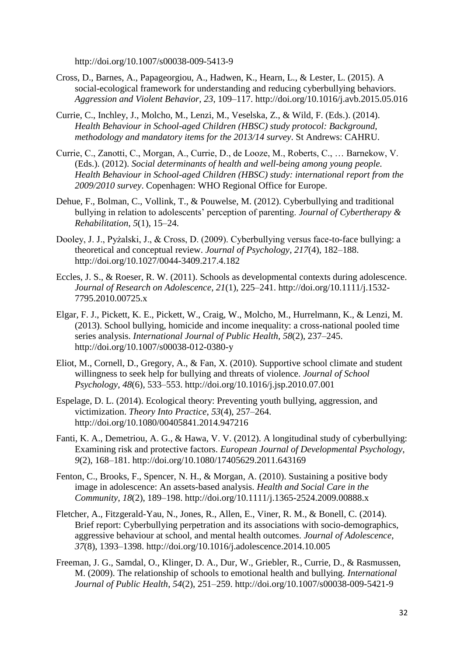http://doi.org/10.1007/s00038-009-5413-9

- Cross, D., Barnes, A., Papageorgiou, A., Hadwen, K., Hearn, L., & Lester, L. (2015). A social-ecological framework for understanding and reducing cyberbullying behaviors. *Aggression and Violent Behavior*, *23*, 109–117. http://doi.org/10.1016/j.avb.2015.05.016
- Currie, C., Inchley, J., Molcho, M., Lenzi, M., Veselska, Z., & Wild, F. (Eds.). (2014). *Health Behaviour in School-aged Children (HBSC) study protocol: Background, methodology and mandatory items for the 2013/14 survey*. St Andrews: CAHRU.
- Currie, C., Zanotti, C., Morgan, A., Currie, D., de Looze, M., Roberts, C., … Barnekow, V. (Eds.). (2012). *Social determinants of health and well-being among young people. Health Behaviour in School-aged Children (HBSC) study: international report from the 2009/2010 survey*. Copenhagen: WHO Regional Office for Europe.
- Dehue, F., Bolman, C., Vollink, T., & Pouwelse, M. (2012). Cyberbullying and traditional bullying in relation to adolescents' perception of parenting. *Journal of Cybertherapy & Rehabilitation*, *5*(1), 15–24.
- Dooley, J. J., Pyżalski, J., & Cross, D. (2009). Cyberbullying versus face-to-face bullying: a theoretical and conceptual review. *Journal of Psychology*, *217*(4), 182–188. http://doi.org/10.1027/0044-3409.217.4.182
- Eccles, J. S., & Roeser, R. W. (2011). Schools as developmental contexts during adolescence. *Journal of Research on Adolescence*, *21*(1), 225–241. http://doi.org/10.1111/j.1532- 7795.2010.00725.x
- Elgar, F. J., Pickett, K. E., Pickett, W., Craig, W., Molcho, M., Hurrelmann, K., & Lenzi, M. (2013). School bullying, homicide and income inequality: a cross-national pooled time series analysis. *International Journal of Public Health*, *58*(2), 237–245. http://doi.org/10.1007/s00038-012-0380-y
- Eliot, M., Cornell, D., Gregory, A., & Fan, X. (2010). Supportive school climate and student willingness to seek help for bullying and threats of violence. *Journal of School Psychology*, *48*(6), 533–553. http://doi.org/10.1016/j.jsp.2010.07.001
- Espelage, D. L. (2014). Ecological theory: Preventing youth bullying, aggression, and victimization. *Theory Into Practice*, *53*(4), 257–264. http://doi.org/10.1080/00405841.2014.947216
- Fanti, K. A., Demetriou, A. G., & Hawa, V. V. (2012). A longitudinal study of cyberbullying: Examining risk and protective factors. *European Journal of Developmental Psychology*, *9*(2), 168–181. http://doi.org/10.1080/17405629.2011.643169
- Fenton, C., Brooks, F., Spencer, N. H., & Morgan, A. (2010). Sustaining a positive body image in adolescence: An assets-based analysis. *Health and Social Care in the Community*, *18*(2), 189–198. http://doi.org/10.1111/j.1365-2524.2009.00888.x
- Fletcher, A., Fitzgerald-Yau, N., Jones, R., Allen, E., Viner, R. M., & Bonell, C. (2014). Brief report: Cyberbullying perpetration and its associations with socio-demographics, aggressive behaviour at school, and mental health outcomes. *Journal of Adolescence*, *37*(8), 1393–1398. http://doi.org/10.1016/j.adolescence.2014.10.005
- Freeman, J. G., Samdal, O., Klinger, D. A., Dur, W., Griebler, R., Currie, D., & Rasmussen, M. (2009). The relationship of schools to emotional health and bullying. *International Journal of Public Health*, *54*(2), 251–259. http://doi.org/10.1007/s00038-009-5421-9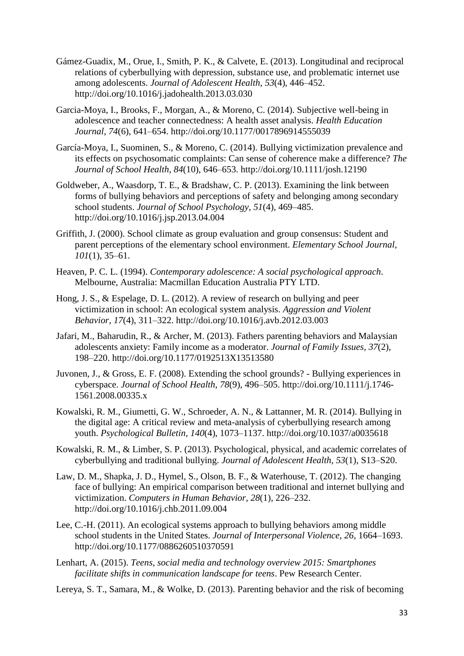- Gámez-Guadix, M., Orue, I., Smith, P. K., & Calvete, E. (2013). Longitudinal and reciprocal relations of cyberbullying with depression, substance use, and problematic internet use among adolescents. *Journal of Adolescent Health*, *53*(4), 446–452. http://doi.org/10.1016/j.jadohealth.2013.03.030
- Garcia-Moya, I., Brooks, F., Morgan, A., & Moreno, C. (2014). Subjective well-being in adolescence and teacher connectedness: A health asset analysis. *Health Education Journal*, *74*(6), 641–654. http://doi.org/10.1177/0017896914555039
- García-Moya, I., Suominen, S., & Moreno, C. (2014). Bullying victimization prevalence and its effects on psychosomatic complaints: Can sense of coherence make a difference? *The Journal of School Health*, *84*(10), 646–653. http://doi.org/10.1111/josh.12190
- Goldweber, A., Waasdorp, T. E., & Bradshaw, C. P. (2013). Examining the link between forms of bullying behaviors and perceptions of safety and belonging among secondary school students. *Journal of School Psychology*, *51*(4), 469–485. http://doi.org/10.1016/j.jsp.2013.04.004
- Griffith, J. (2000). School climate as group evaluation and group consensus: Student and parent perceptions of the elementary school environment. *Elementary School Journal*, *101*(1), 35–61.
- Heaven, P. C. L. (1994). *Contemporary adolescence: A social psychological approach*. Melbourne, Australia: Macmillan Education Australia PTY LTD.
- Hong, J. S., & Espelage, D. L. (2012). A review of research on bullying and peer victimization in school: An ecological system analysis. *Aggression and Violent Behavior*, *17*(4), 311–322. http://doi.org/10.1016/j.avb.2012.03.003
- Jafari, M., Baharudin, R., & Archer, M. (2013). Fathers parenting behaviors and Malaysian adolescents anxiety: Family income as a moderator. *Journal of Family Issues*, *37*(2), 198–220. http://doi.org/10.1177/0192513X13513580
- Juvonen, J., & Gross, E. F. (2008). Extending the school grounds? Bullying experiences in cyberspace. *Journal of School Health*, *78*(9), 496–505. http://doi.org/10.1111/j.1746- 1561.2008.00335.x
- Kowalski, R. M., Giumetti, G. W., Schroeder, A. N., & Lattanner, M. R. (2014). Bullying in the digital age: A critical review and meta-analysis of cyberbullying research among youth. *Psychological Bulletin*, *140*(4), 1073–1137. http://doi.org/10.1037/a0035618
- Kowalski, R. M., & Limber, S. P. (2013). Psychological, physical, and academic correlates of cyberbullying and traditional bullying. *Journal of Adolescent Health*, *53*(1), S13–S20.
- Law, D. M., Shapka, J. D., Hymel, S., Olson, B. F., & Waterhouse, T. (2012). The changing face of bullying: An empirical comparison between traditional and internet bullying and victimization. *Computers in Human Behavior*, *28*(1), 226–232. http://doi.org/10.1016/j.chb.2011.09.004
- Lee, C.-H. (2011). An ecological systems approach to bullying behaviors among middle school students in the United States. *Journal of Interpersonal Violence*, *26*, 1664–1693. http://doi.org/10.1177/0886260510370591
- Lenhart, A. (2015). *Teens, social media and technology overview 2015: Smartphones facilitate shifts in communication landscape for teens*. Pew Research Center.
- Lereya, S. T., Samara, M., & Wolke, D. (2013). Parenting behavior and the risk of becoming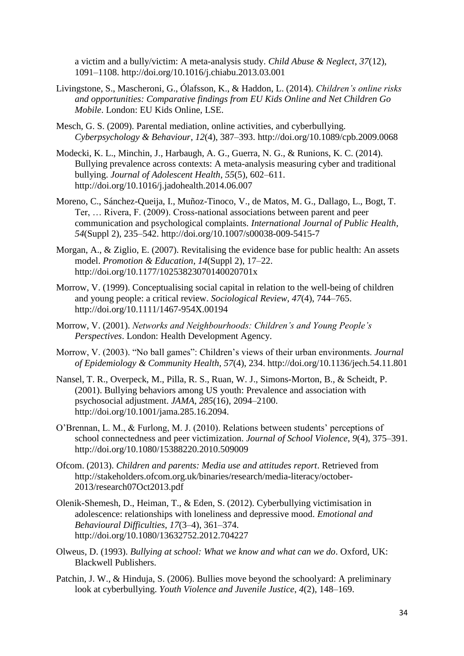a victim and a bully/victim: A meta-analysis study. *Child Abuse & Neglect*, *37*(12), 1091–1108. http://doi.org/10.1016/j.chiabu.2013.03.001

- Livingstone, S., Mascheroni, G., Ólafsson, K., & Haddon, L. (2014). *Children's online risks and opportunities: Comparative findings from EU Kids Online and Net Children Go Mobile*. London: EU Kids Online, LSE.
- Mesch, G. S. (2009). Parental mediation, online activities, and cyberbullying. *Cyberpsychology & Behaviour*, *12*(4), 387–393. http://doi.org/10.1089/cpb.2009.0068
- Modecki, K. L., Minchin, J., Harbaugh, A. G., Guerra, N. G., & Runions, K. C. (2014). Bullying prevalence across contexts: A meta-analysis measuring cyber and traditional bullying. *Journal of Adolescent Health*, *55*(5), 602–611. http://doi.org/10.1016/j.jadohealth.2014.06.007
- Moreno, C., Sánchez-Queija, I., Muñoz-Tinoco, V., de Matos, M. G., Dallago, L., Bogt, T. Ter, … Rivera, F. (2009). Cross-national associations between parent and peer communication and psychological complaints. *International Journal of Public Health*, *54*(Suppl 2), 235–542. http://doi.org/10.1007/s00038-009-5415-7
- Morgan, A., & Ziglio, E. (2007). Revitalising the evidence base for public health: An assets model. *Promotion & Education*, *14*(Suppl 2), 17–22. http://doi.org/10.1177/10253823070140020701x
- Morrow, V. (1999). Conceptualising social capital in relation to the well-being of children and young people: a critical review. *Sociological Review*, *47*(4), 744–765. http://doi.org/10.1111/1467-954X.00194
- Morrow, V. (2001). *Networks and Neighbourhoods: Children's and Young People's Perspectives*. London: Health Development Agency.
- Morrow, V. (2003). "No ball games": Children's views of their urban environments. *Journal of Epidemiology & Community Health*, *57*(4), 234. http://doi.org/10.1136/jech.54.11.801
- Nansel, T. R., Overpeck, M., Pilla, R. S., Ruan, W. J., Simons-Morton, B., & Scheidt, P. (2001). Bullying behaviors among US youth: Prevalence and association with psychosocial adjustment. *JAMA*, *285*(16), 2094–2100. http://doi.org/10.1001/jama.285.16.2094.
- O'Brennan, L. M., & Furlong, M. J. (2010). Relations between students' perceptions of school connectedness and peer victimization. *Journal of School Violence*, *9*(4), 375–391. http://doi.org/10.1080/15388220.2010.509009
- Ofcom. (2013). *Children and parents: Media use and attitudes report*. Retrieved from http://stakeholders.ofcom.org.uk/binaries/research/media-literacy/october-2013/research07Oct2013.pdf
- Olenik-Shemesh, D., Heiman, T., & Eden, S. (2012). Cyberbullying victimisation in adolescence: relationships with loneliness and depressive mood. *Emotional and Behavioural Difficulties*, *17*(3–4), 361–374. http://doi.org/10.1080/13632752.2012.704227
- Olweus, D. (1993). *Bullying at school: What we know and what can we do*. Oxford, UK: Blackwell Publishers.
- Patchin, J. W., & Hinduja, S. (2006). Bullies move beyond the schoolyard: A preliminary look at cyberbullying. *Youth Violence and Juvenile Justice*, *4*(2), 148–169.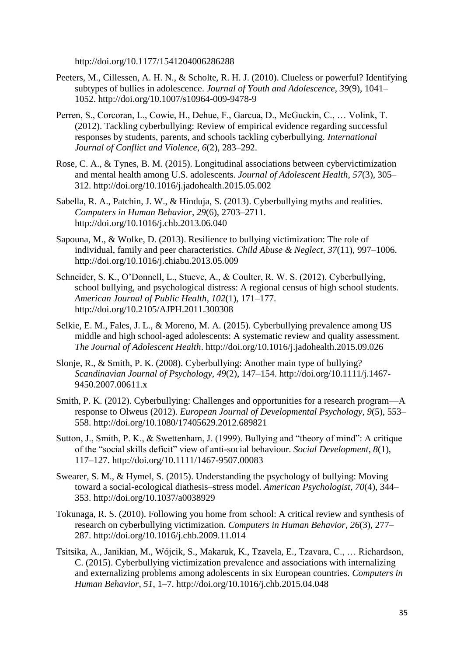http://doi.org/10.1177/1541204006286288

- Peeters, M., Cillessen, A. H. N., & Scholte, R. H. J. (2010). Clueless or powerful? Identifying subtypes of bullies in adolescence. *Journal of Youth and Adolescence*, *39*(9), 1041– 1052. http://doi.org/10.1007/s10964-009-9478-9
- Perren, S., Corcoran, L., Cowie, H., Dehue, F., Garcua, D., McGuckin, C., … Volink, T. (2012). Tackling cyberbullying: Review of empirical evidence regarding successful responses by students, parents, and schools tackling cyberbullying. *International Journal of Conflict and Violence*, *6*(2), 283–292.
- Rose, C. A., & Tynes, B. M. (2015). Longitudinal associations between cybervictimization and mental health among U.S. adolescents. *Journal of Adolescent Health*, *57*(3), 305– 312. http://doi.org/10.1016/j.jadohealth.2015.05.002
- Sabella, R. A., Patchin, J. W., & Hinduja, S. (2013). Cyberbullying myths and realities. *Computers in Human Behavior*, *29*(6), 2703–2711. http://doi.org/10.1016/j.chb.2013.06.040
- Sapouna, M., & Wolke, D. (2013). Resilience to bullying victimization: The role of individual, family and peer characteristics. *Child Abuse & Neglect*, *37*(11), 997–1006. http://doi.org/10.1016/j.chiabu.2013.05.009
- Schneider, S. K., O'Donnell, L., Stueve, A., & Coulter, R. W. S. (2012). Cyberbullying, school bullying, and psychological distress: A regional census of high school students. *American Journal of Public Health*, *102*(1), 171–177. http://doi.org/10.2105/AJPH.2011.300308
- Selkie, E. M., Fales, J. L., & Moreno, M. A. (2015). Cyberbullying prevalence among US middle and high school-aged adolescents: A systematic review and quality assessment. *The Journal of Adolescent Health*. http://doi.org/10.1016/j.jadohealth.2015.09.026
- Slonje, R., & Smith, P. K. (2008). Cyberbullying: Another main type of bullying? *Scandinavian Journal of Psychology*, *49*(2), 147–154. http://doi.org/10.1111/j.1467- 9450.2007.00611.x
- Smith, P. K. (2012). Cyberbullying: Challenges and opportunities for a research program—A response to Olweus (2012). *European Journal of Developmental Psychology*, *9*(5), 553– 558. http://doi.org/10.1080/17405629.2012.689821
- Sutton, J., Smith, P. K., & Swettenham, J. (1999). Bullying and "theory of mind": A critique of the "social skills deficit" view of anti-social behaviour. *Social Development*, *8*(1), 117–127. http://doi.org/10.1111/1467-9507.00083
- Swearer, S. M., & Hymel, S. (2015). Understanding the psychology of bullying: Moving toward a social-ecological diathesis–stress model. *American Psychologist*, *70*(4), 344– 353. http://doi.org/10.1037/a0038929
- Tokunaga, R. S. (2010). Following you home from school: A critical review and synthesis of research on cyberbullying victimization. *Computers in Human Behavior*, *26*(3), 277– 287. http://doi.org/10.1016/j.chb.2009.11.014
- Tsitsika, A., Janikian, M., Wójcik, S., Makaruk, K., Tzavela, E., Tzavara, C., … Richardson, C. (2015). Cyberbullying victimization prevalence and associations with internalizing and externalizing problems among adolescents in six European countries. *Computers in Human Behavior*, *51*, 1–7. http://doi.org/10.1016/j.chb.2015.04.048